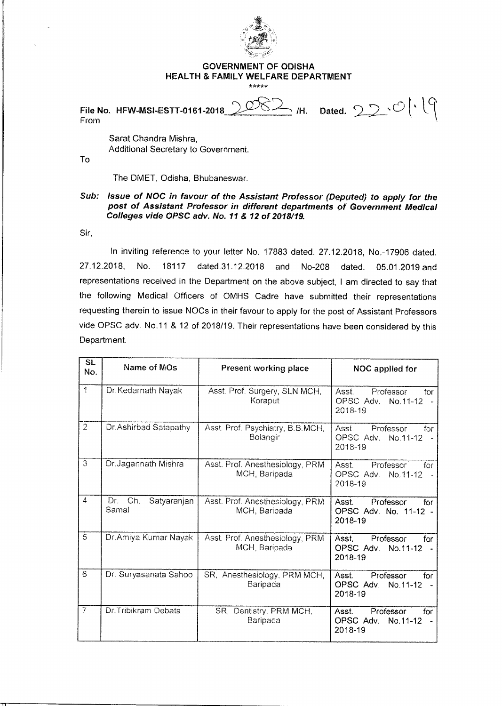

## **GOVERNMENT OF ODISHA HEALTH & FAMILY WELFARE DEPARTMENT**  \*\*\*\*\*

**File No. HFW-MSI-ESTT-0161-2018**  From  $\mathbf{P}$  /H. Dated.  $\mathbf{Q} \geq \mathbf{P} \cdot \mathbf{P}$ 

Sarat Chandra Mishra, Additional Secretary to Government.

To

The DMET, Odisha, Bhubaneswar.

**Sub: Issue of NOG in favour of the Assistant Professor (Deputed) to apply for the post of Assistant Professor in different departments of Government Medical Colleges vide OPSC adv. No. 11 & 12 of 2018/19.** 

Sir,

In inviting reference to your letter No. 17883 dated. 27.12.2018, No.-17906 dated. 27.12.2018, No. 18117 dated.31.12.2018 and No-208 dated. 05.01.2019 and representations received in the Department on the above subject, I am directed to say that the following Medical Officers of OMHS Cadre have submitted their representations requesting therein to issue NOCs in their favour to apply for the post of Assistant Professors vide OPSC adv. No.11 & 12 of 2018/19. Their representations have been considered by this Department.

| $\overline{\mathsf{SL}}$<br>No. | Name of MOs                        | <b>Present working place</b>                     | NOC applied for                                                                 |
|---------------------------------|------------------------------------|--------------------------------------------------|---------------------------------------------------------------------------------|
| $\uparrow$                      | Dr.Kedarnath Nayak                 | Asst. Prof. Surgery, SLN MCH.<br>Koraput         | Asst.<br>Professor<br>for<br>OPSC Adv.<br>No.11-12<br>$\sim$<br>2018-19         |
| $\overline{2}$                  | Dr.Ashirbad Satapathy              | Asst. Prof. Psychiatry, B.B.MCH,<br>Bolangir     | Asst.<br>Professor<br>for<br>OPSC Adv.<br>No.11-12<br>2018-19                   |
| 3                               | Dr.Jagannath Mishra                | Asst. Prof. Anesthesiology, PRM<br>MCH, Baripada | Professor<br>Asst.<br>for<br>OPSC Adv. No.11-12<br>$\sim$<br>2018-19            |
| 4                               | Ch.<br>Dr.<br>Satyaranjan<br>Samal | Asst. Prof. Anesthesiology, PRM<br>MCH, Baripada | Professor<br>Asst.<br>for<br>OPSC Adv. No. 11-12 -<br>2018-19                   |
| $\overline{5}$                  | Dr.Amiya Kumar Nayak               | Asst. Prof. Anesthesiology, PRM<br>MCH, Baripada | Professor<br>Asst<br>for<br>OPSC Adv.<br>No.11-12<br>2018-19                    |
| 6                               | Dr. Suryasanata Sahoo              | SR, Anesthesiology, PRM MCH,<br>Baripada         | Professor<br>Asst.<br>for<br>OPSC Adv.<br>No.11-12<br>$\overline{a}$<br>2018-19 |
| $\overline{7}$                  | Dr.Tribikram Debata                | SR, Dentistry, PRM MCH,<br>Baripada              | Professor<br>Asst.<br>for<br>OPSC Adv.<br>No.11-12<br>2018-19                   |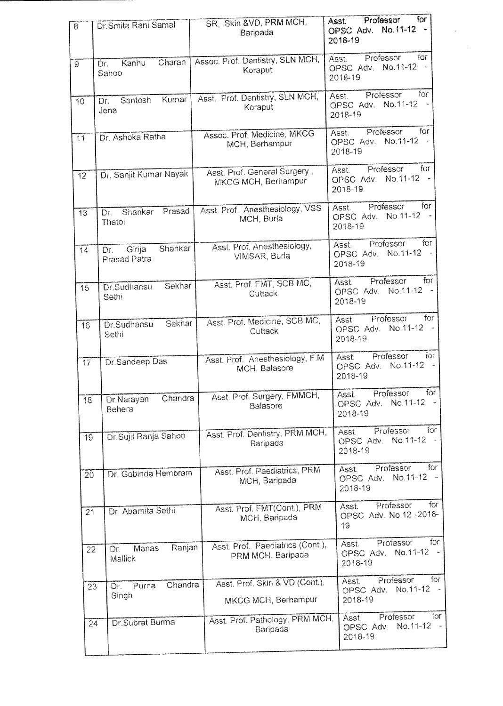| $\widetilde{8}$ | Dr. Smita Rani Samal                     | SR. Skin & VD, PRM MCH,<br>Baripada                   | for<br>Professor<br>Asst.<br>OPSC Adv. No.11-12 -<br>2018-19                 |
|-----------------|------------------------------------------|-------------------------------------------------------|------------------------------------------------------------------------------|
| $\Theta$        | Charan<br>Kanhu<br>Dr.<br>Sahoo          | Assoc. Prof. Dentistry, SLN MCH,<br>Koraput           | Professor<br>for<br>Asst.<br>No.11-12 -<br>OPSC Adv.<br>2018-19              |
| 10              | Kumar<br>Santosh<br>Dr.<br>Jena          | Asst. Prof. Dentistry, SLN MCH,<br>Koraput            | for<br>Professor<br>Asst.<br>OPSC Adv. No.11-12 -<br>2018-19                 |
| $\overline{11}$ | Dr. Ashoka Ratha                         | Assoc. Prof. Medicine, MKCG<br>MCH, Berhampur         | for<br>Professor<br>Asst.<br>OPSC Adv. No.11-12<br>2018-19                   |
| $\overline{12}$ | Dr. Sanjit Kumar Nayak                   | Asst. Prof. General Surgery,<br>MKCG MCH, Berhampur   | for<br>Professor<br>Asst.<br>No.11-12<br>OPSC Adv.<br>2018-19                |
| $\overline{13}$ | Prasad<br>Shankar<br>Dr.<br>Thatoi       | Asst. Prof. Anesthesiology, VSS<br>MCH, Burla         | for<br>Professor<br>Asst.<br>OPSC Adv. No.11-12 -<br>2018-19                 |
| 14              | Shankar<br>Girija<br>Dr.<br>Prasad Patra | Asst. Prof. Anesthesiology,<br>VIMSAR, Burla          | for<br>Professor<br>Asst.<br>OPSC Adv. No.11-12<br>2018-19                   |
| 15              | Sekhar<br>Dr.Sudhansu<br>Sethi           | Asst. Prof. FMT, SCB MC,<br>Cuttack                   | for<br>Professor<br>Asst.<br>No.11-12 -<br>OPSC Adv.<br>2018-19              |
| 16              | Sekhar<br>Dr.Sudhansu<br>Sethi           | Asst. Prof. Medicine, SCB MC,<br>Cuttack              | for<br>Professor<br>Asst.<br>No.11-12 -<br>OPSC Adv.<br>2018-19              |
| $\overline{17}$ | Dr.Sandeep Das                           | Asst. Prof. Anesthesiology, F.M.<br>MCH, Balasore     | for<br>Professor<br>Asst.<br>No.11-12 -<br>OPSC Adv.<br>2018-19              |
| 18              | Chandra<br>Dr.Narayan<br>Behera          | Asst. Prof. Surgery, FMMCH,<br>Balasore               | for<br>Professor<br>Asst.<br>OPSC Adv. No.11-12 -<br>2018-19                 |
| $\overline{19}$ | Dr.Sujit Ranja Sahoo                     | Asst. Prof. Dentistry, PRM MCH,<br>Baripada           | for<br>Professor<br>Asst.<br>OPSC Adv. No.11-12 -<br>2018-19                 |
| 20              | Dr. Gobinda Hembram                      | Asst. Prof. Paediatrics, PRM<br>MCH, Baripada         | Professor<br>for<br>Asst.<br>No.11-12<br>OPSC Adv.<br>2018-19                |
| 21              | Dr. Abarnita Sethi                       | Asst. Prof. FMT(Cont.), PRM<br>MCH, Baripada          | for<br>Professor<br>Asst.<br>OPSC Adv. No.12 -2018-<br>19                    |
| 22              | Ranjan<br>Manas<br>Dr.<br>Mallick        | Asst. Prof. Paediatrics (Cont.),<br>PRM MCH, Baripada | for<br>Professor<br>Asst.<br>$No.11-12 -$<br>OPSC Adv.<br>2018-19            |
| $\overline{23}$ | Chandra<br>Purna<br>Dr.<br>Singh         | Asst. Prof. Skin & VD (Cont.),<br>MKCG MCH, Berhampur | for $\overline{a}$<br>Professor<br>Asst.<br>No.11-12<br>OPSC Adv.<br>2018-19 |
| 24              | Dr.Subrat Burma                          | Asst. Prof. Pathology, PRM MCH,<br>Baripada           | for .<br>Professor<br>Asst.<br>OPSC Adv. No.11-12 -<br>2018-19               |